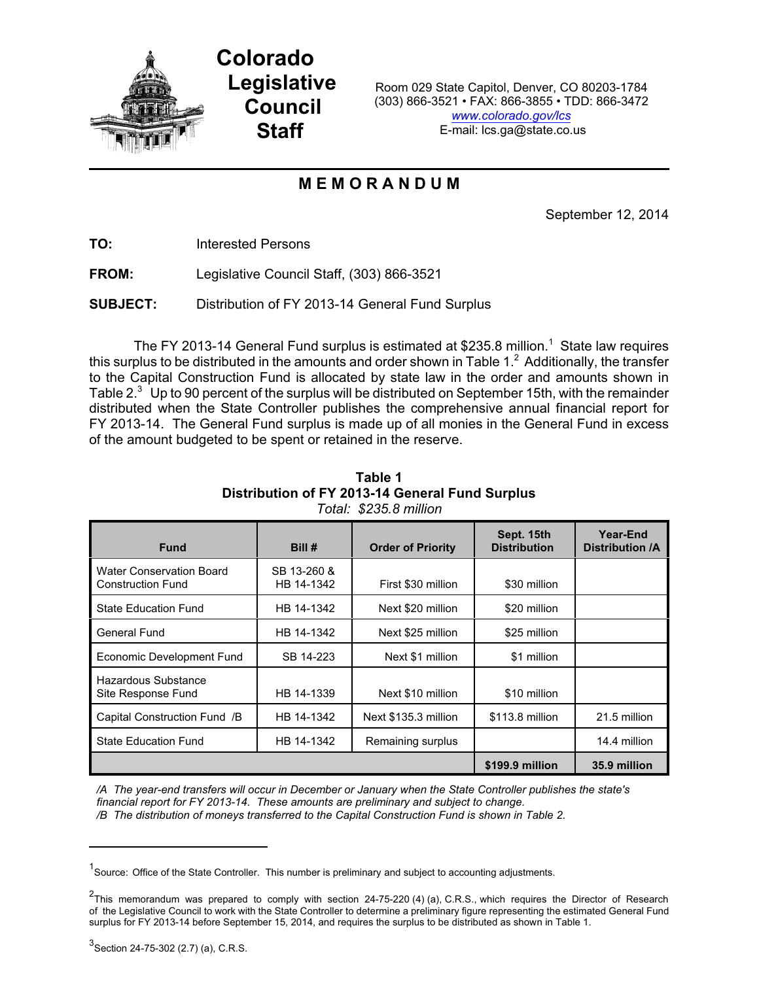

**Colorado Legislative Council Staff**

Room 029 State Capitol, Denver, CO 80203-1784 (303) 866-3521 • FAX: 866-3855 • TDD: 866-3472 *[www.colorado.gov/lcs](http://www.colorado.gov/lcs)* E-mail: lcs.ga@state.co.us

## **M E M O R A N D U M**

September 12, 2014

**TO:** Interested Persons

**FROM:** Legislative Council Staff, (303) 866-3521

**SUBJECT:** Distribution of FY 2013-14 General Fund Surplus

The FY 2013-14 General Fund surplus is estimated at \$235.8 million.<sup>1</sup> State law requires this surplus to be distributed in the amounts and order shown in Table  $1<sup>2</sup>$  Additionally, the transfer to the Capital Construction Fund is allocated by state law in the order and amounts shown in Table  $2<sup>3</sup>$  Up to 90 percent of the surplus will be distributed on September 15th, with the remainder distributed when the State Controller publishes the comprehensive annual financial report for FY 2013-14. The General Fund surplus is made up of all monies in the General Fund in excess of the amount budgeted to be spent or retained in the reserve.

| <b>Fund</b>                                                 | Bill #                    | <b>Order of Priority</b> | Sept. 15th<br><b>Distribution</b> | Year-End<br><b>Distribution /A</b> |
|-------------------------------------------------------------|---------------------------|--------------------------|-----------------------------------|------------------------------------|
| <b>Water Conservation Board</b><br><b>Construction Fund</b> | SB 13-260 &<br>HB 14-1342 | First \$30 million       | \$30 million                      |                                    |
| <b>State Education Fund</b>                                 | HB 14-1342                | Next \$20 million        | \$20 million                      |                                    |
| <b>General Fund</b>                                         | HB 14-1342                | Next \$25 million        | \$25 million                      |                                    |
| Economic Development Fund                                   | SB 14-223                 | Next \$1 million         | \$1 million                       |                                    |
| Hazardous Substance<br>Site Response Fund                   | HB 14-1339                | Next \$10 million        | \$10 million                      |                                    |
| Capital Construction Fund /B                                | HB 14-1342                | Next \$135.3 million     | \$113.8 million                   | 21.5 million                       |
| <b>State Education Fund</b>                                 | HB 14-1342                | Remaining surplus        |                                   | 14.4 million                       |
|                                                             |                           |                          | \$199.9 million                   | 35.9 million                       |

**Table 1 Distribution of FY 2013-14 General Fund Surplus** *Total: \$235.8 million*

*/A The year-end transfers will occur in December or January when the State Controller publishes the state's financial report for FY 2013-14. These amounts are preliminary and subject to change.*

*/B The distribution of moneys transferred to the Capital Construction Fund is shown in Table 2.*

<sup>&</sup>lt;sup>1</sup> Source: Office of the State Controller. This number is preliminary and subject to accounting adjustments.

 $^{2}$ This memorandum was prepared to comply with section 24-75-220 (4) (a), C.R.S., which requires the Director of Research of the Legislative Council to work with the State Controller to determine a preliminary figure representing the estimated General Fund surplus for FY 2013-14 before September 15, 2014, and requires the surplus to be distributed as shown in Table 1.

 $^3$ Section 24-75-302 (2.7) (a), C.R.S.